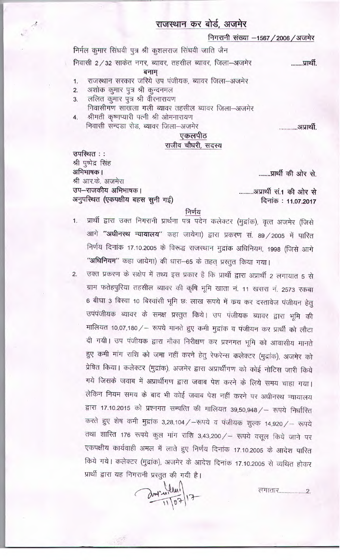## राजस्थान कर बोर्ड, अजमेर

निगरानी संख्या -1567 / 2006 / अजमेर

निर्मल कुमार सिंघवी पुत्र श्री कुशलराज सिंघवी जाति जैन

निवासी 2/32 साकेत नगर, ब्यावर, तहसील ब्यावर, जिला-अजमेर

बनाम्

- राजस्थान सरकार जरिये उप पंजीयक, ब्यावर जिला-अजमेर 1.
	- अशोक कुमार पुत्र श्री कुन्दनमल

 $2.$ 

उपस्थित :: श्री पूष्पेद्र सिंह

- ललित कुमार पुत्र श्री वीरनारायण 3 निवासीगण साखला गली ब्यावर तहसील ब्यावर जिला-अजमेर
- श्रीमती कृष्णप्यारी पत्नी श्री ओमनारायण  $\overline{4}$ . निवासी सन्दडा रोड, ब्यावर जिला-अजमेर

..............अप्रार्थी.

........प्रार्थी.

## एकलपीठ राजीव चौधरी, सदस्य

........प्रार्थी की ओर से.

अभिभाषक । श्री आर.के. अजमेरा उप-राजकीय अभिभाषक। अनुपस्थित (एकपक्षीय बहस सुनी गई)

..........अप्रार्थी सं.1 की ओर से दिनांक: 11.07.2017

## निर्णय

- प्रार्थी द्वारा उक्त निगरानी प्रार्थना पत्र पदेन कलेक्टर (मुद्रांक), वृत्त अजमेर (जिसे  $1.$ आगे "अधीनस्थ न्यायालय" कहा जायेगा) द्वारा प्रकरण सं. 89 / 2005 में पारित निर्णय दिनांक 17.10.2005 के विरूद्ध राजस्थान मुद्रांक अधिनियम, 1998 (जिसे आगे "अधिनियम" कहा जायेगा) की धारा-65 के तहत् प्रस्तुत किया गया।
- उक्त प्रकरण के सक्षेप में तथ्य इस प्रकार है कि प्रार्थी द्वारा अप्रार्थी 2 लगायात 5 से  $2.$ ग्राम फतेहपुरिया तहसील ब्यावर की कृषि भूमि खाता नं. 11 खसरा नं. 2573 रकबा 6 बीघा 3 बिस्वा 10 बिस्वांसी भूमि छः लाख रूपये में कय कर दस्तावेज पंजीयन हेतु उपंपंजीयक ब्यावर के समक्ष प्रस्तुत किये। उप पंजीयक ब्यावर द्वारा भूमि की मालियत 10,07,180 / - रूपये मानते हुए कमी मुद्रांक व पंजीयन कर प्रार्थी को लौटा दी गयी। उप पंजीयक द्वारा मौका निरीक्षण कर प्रश्नगत भूमि को आवासीय मानते हुए कमी मांग राशि को जमा नहीं करने हेतु रेफरेन्स कलेक्टर (मुद्रांक), अजमेर को प्रेषित किया। कलेक्टर (मुद्रांक), अजमेर द्वारा अप्रार्थीगण को कोई नोटिस जारी किये गये जिसके जवाब में अप्रार्थीगण द्वारा जवाब पेश करने के लिये समय चाहा गया। लेकिन नियम समय के बाद भी कोई जवाब पेश नहीं करने पर अधीनस्थ न्यायालय द्वारा 17.10.2015 को प्रश्नगत सम्पत्ति की मालियत 39,50,948 / – रूपये निर्धारित करते हुए शेष कमी मुद्रांक 3,28,104 / - रूपये व पंजीयक शुल्क 14,920 / - रूपये तथा शास्ति 176 रूपये कुल मांग राशि 3,43,200 / – रूपये वसूल किये जाने पर एकपक्षीय कार्यवाही अमल में लाते हुए निर्णय दिनांक 17.10.2005 के आदेश पारित किये गये। कलेक्टर (मुद्रांक), अजमेर के आदेश दिनांक 17.10.2005 से व्यथित होकर प्रार्थी द्वारा यह निगरानी प्रस्तुत की गयी है।

any 1/07/17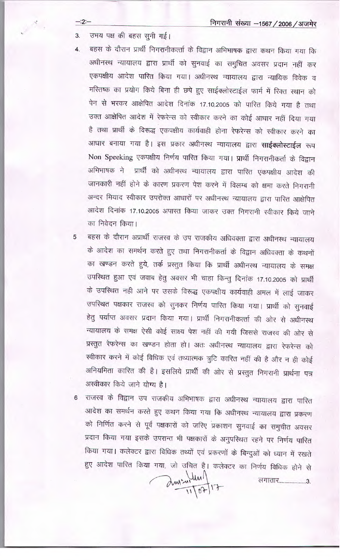उभय पक्ष की बहस सुनी गई।  $3.$ 

 $-2$ :-

 $\mathcal{P}^{\mathcal{R}}$  .

- बहस के दौरान प्रार्थी निगरानीकर्त्ता के विद्वान अभिभाषक द्वारा कथन किया गया कि  $4.$ अधीनस्थ न्यायालय द्वारा प्रार्थी को सुनवाई का समुचित अवसर प्रदान नहीं कर एकपक्षीय आदेश पारित किया गया। अधीनस्थ न्यायालय द्वारा न्यायिक विवेक व मरितष्क का प्रयोग किये बिना ही छपे हुए साईक्लोस्टाईल फार्म में रिक्त स्थान को पेन से भरकर आक्षेपित आदेश दिनांक 17.10.2005 को पारित किये गया है तथा उक्त आक्षेपित आदेश में रेफरेन्स को स्वीकार करने का कोई आधार नहीं दिया गया है तथा प्रार्थी के विरूद्ध एकपक्षीय कार्यवाही होना रेफरेन्स को स्वीकार करने का आधार बनाया गया है। इस प्रकार अधीनस्थ न्यायालय द्वारा **साईक्लोस्टाईल** रूप Non Speeking एकपक्षीय निर्णय पारित किया गया। प्रार्थी निगरानीकर्ता के विद्वान अभिभाषक ने प्रार्थी को अधीनस्थ न्यायालय द्वारा पारित एकपक्षीय आदेश की जानकारी नहीं होने के कारण प्रकरण पेश करने में विलम्ब को क्षमा करते निगरानी अन्दर मियाद स्वीकार उपरोक्त आधारों पर अधीनस्थ न्यायालय द्वारा पारित आक्षेपित आदेश दिनांक 17.10.2005 अपास्त किया जाकर उक्त निगरानी स्वीकार किये जाने का निवेदन किया।
- बहस के दौरान अप्रार्थी राजस्व के उप राजकीय अधिवक्ता द्वारा अधीनस्थ न्यायालय 5 के आदेश का समर्थन करते हुए तथा निगरानीकर्ता के विद्वान अधिवक्ता के कथनों का खण्डन करते हुये, तर्क प्रस्तुत किया कि प्रार्थी अधीनस्थ न्यायालय के समक्ष उपस्थित हुआ एवं जवाब हेतु अवसर भी चाहा किन्तु दिनांक 17.10.2005 को प्रार्थी के उपस्थित नही आने पर उसके विरूद्ध एकपक्षीय कार्यवाही अमल में लाई जाकर उपस्थित पक्षकार राजस्व को सुनकर निर्णय पारित किया गया। प्रार्थी को सुनवाई हेतु पर्याप्त अवसर प्रदान किया गया। प्रार्थी निगरानीकर्त्ता की ओर से अधीनस्थ न्यायालय के समक्ष ऐसी कोई साक्ष्य पेश नहीं की गयी जिससे राजस्व की ओर से प्रस्तुत रेफरेन्स का खण्डन होता हो। अतः अधीनस्थ न्यायालय द्वारा रेफरेन्स को स्वीकार करने में कोई विधिक एवं तथ्यात्मक त्रुटि कारित नहीं की है और न ही कोई अनियमिता कारित की है। इसलिये प्रार्थी की ओर से प्रस्तुत निगरानी प्रार्थना पत्र अस्वीकार किये जाने योग्य है।

राजस्व के विद्वान उप राजकीय अभिभाषक द्वारा अधीनस्थ न्यायालय द्वारा पारित  $6 \overline{6}$ आदेश का समर्थन करते हुए कथन किया गया कि अधीनस्थ न्यायालय द्वारा प्रकरण को निर्णित करने से पूर्व पक्षकारों को जरिए प्रकाशन सुनवाई का समुचीत अवसर प्रदान किया गया इसके उपरान्त भी पक्षकारों के अनुपस्थित रहने पर निर्णय पारित किया गया। कलेक्टर द्वारा विधिक तथ्यों एवं प्रकरणों के बिन्दुओं को ध्यान में रखते हुए आदेश पारित किया गया, जो उचित है। कलेक्टर का निर्णय विधिक होने से ans interprise

लगातार....................3.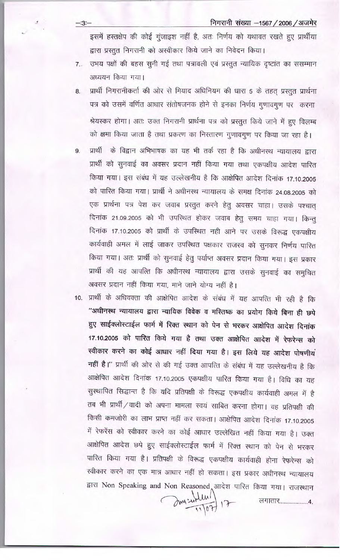निगरानी संख्या -1567 / 2006 / अजमेर

इसमें हस्तक्षेप की कोई गूंजाइश नहीं है, अतः निर्णय को यथावत रखते हुए प्रार्थीया द्वारा प्रस्तुत निगरानी को अस्वीकार किये जाने का निवेदन किया।

उभय पक्षों की बहस सूनी गई तथा पत्रावली एवं प्रस्तुत न्यायिक दृष्टांत का ससम्मान  $7.$ अध्ययन किया गया।

 $-3 -$ 

- प्रार्थी निगरानीकर्ता की ओर से मियाद अधिनियम की धारा 5 के तहत् प्रस्तुत प्रार्थना 8. पत्र को उसमें वर्णित आधार संतोषजनक होने से इनका निर्णय गुणावगुण पर करना श्रेयस्कर होगा। अतः उक्त निगरानी प्रार्थना पत्र को प्रस्तुत किये जाने में हुए विलम्ब को क्षमा किया जाता है तथा प्रकरण का निस्तारण गुणावगुण पर किया जा रहा है।
- प्रार्थी के विद्वान अभिभाषक का यह भी तर्क रहा है कि अधीनस्थ न्यायालय द्वारा 9 प्रार्थी को सुनवाई का अवसर प्रदान नहीं किया गया तथा एकपक्षीय आदेश पारित किया गया। इस संबंध में यह उल्लेखनीय है कि आक्षेपित आदेश दिनांक 17.10.2005 को पारित किया गया। प्रार्थी ने अधीनस्थ न्यायालय के समक्ष दिनांक 24.08.2005 को एक प्रार्थना पत्र पेश कर जवाब प्रस्तुत करने हेतु अवसर चाहा। उसके पश्चात् दिनांक 21.09.2005 को भी उपस्थित होकर जवाब हेतु समय चाहा गया। किन्तु दिनांक 17.10.2005 को प्रार्थी के उपस्थित नही आने पर उसके विरूद्ध एकपक्षीय कार्यवाही अमल में लाई जाकर उपस्थित पक्षकार राजस्व को सुनकर निर्णय पारित किया गया। अतः प्रार्थी को सुनवाई हेतु पर्याप्त अवसर प्रदान किया गया। इस प्रकार प्रार्थी की यह आपत्ति कि अधीनस्थ न्यायालय द्वारा उसके सुनवाई का समुचित अवसर प्रदान नहीं किया गया. माने जाने योग्य नहीं है।
- 10. प्रार्थी के अधिवक्ता की आक्षेपित आदेश के संबंध में यह आपत्ति भी रही है कि ''अधीनस्थ न्यायालय द्वारा न्यायिक विवेक व मस्तिष्क का प्रयोग किये बिना ही छपे हुए साईक्लोस्टाईल फार्म में रिक्त स्थान को पेन से भरकर आक्षेपित आदेश दिनांक 17.10.2005 को पारित किये गया है तथा उक्त आक्षेपित आदेश में रेफरेन्स को स्वीकार करने का कोई आधार नहीं दिया गया है। इस लिये यह आदेश पोषणीय नहीं है।'' प्रार्थी की ओर से की गई उक्त आपत्ति के संबंध में यह उल्लेखनीय है कि आक्षेपित आदेश दिनांक 17.10.2005 एकपक्षीय पारित किया गया है। विधि का यह सुस्थापित सिद्धान्त है कि यदि प्रतिपक्षी के विरूद्ध एकपक्षीय कार्यवाही अमल में है तब भी प्रार्थी / वादी को अपना मामला स्वयं साबित करना होगा। वह प्रतिपक्षी की किसी कमजोरी का लाभ प्राप्त नहीं कर सकता। आक्षेपित आदेश दिनांक 17.10.2005 में रेफरेंस को स्वीकार करने का कोई आधार उल्लेखित नहीं किया गया है। उक्त आक्षेपित आदेश छपे हुए साईक्लोस्टाईल फार्म में रिक्त स्थान को पेन से भरकर पारित किया गया है। प्रतिपक्षी के विरूद्ध एकपक्षीय कार्यवाही होना रेफरेन्स को स्वीकार करने का एक मात्र आधार नहीं हो सकता। इस प्रकार अधीनस्थ न्यायालय द्वारा Non Speaking and Non Reasoned आदेश पारित किया गया। राजस्थान

Im sullent 17